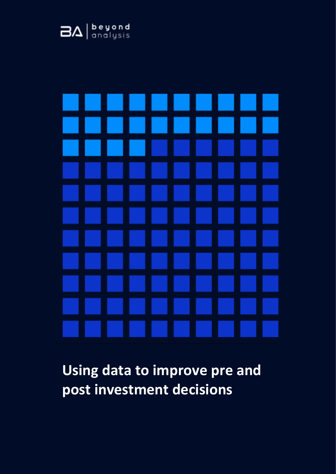



**Using data to improve pre and post investment decisions**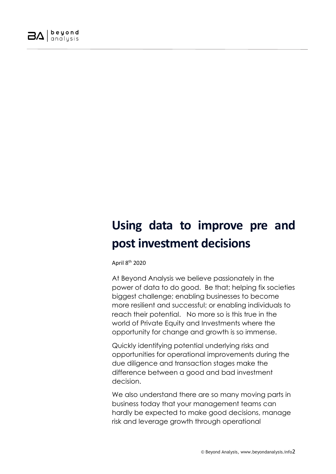

## **Using data to improve pre and post investment decisions**

April 8th 2020

At Beyond Analysis we believe passionately in the power of data to do good. Be that; helping fix societies biggest challenge; enabling businesses to become more resilient and successful; or enabling individuals to reach their potential. No more so is this true in the world of Private Equity and Investments where the opportunity for change and growth is so immense.

Quickly identifying potential underlying risks and opportunities for operational improvements during the due diligence and transaction stages make the difference between a good and bad investment decision.

We also understand there are so many moving parts in business today that your management teams can hardly be expected to make good decisions, manage risk and leverage growth through operational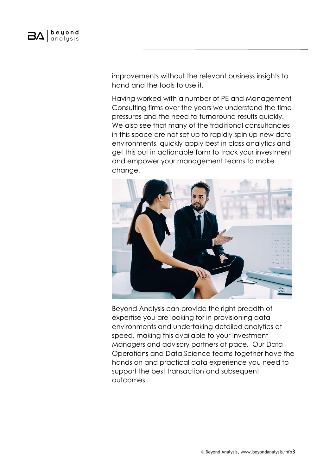

improvements without the relevant business insights to hand and the tools to use it.

Having worked with a number of PE and Management Consulting firms over the years we understand the time pressures and the need to turnaround results quickly. We also see that many of the traditional consultancies in this space are not set up to rapidly spin up new data environments, quickly apply best in class analytics and get this out in actionable form to track your investment and empower your management teams to make change.



Beyond Analysis can provide the right breadth of expertise you are looking for in provisioning data environments and undertaking detailed analytics at speed, making this available to your Investment Managers and advisory partners at pace. Our Data Operations and Data Science teams together have the hands on and practical data experience you need to support the best transaction and subsequent outcomes.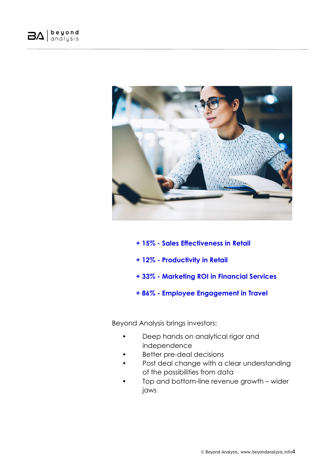



- **+ 15% - Sales Effectiveness in Retail**
- **+ 12% - Productivity in Retail**
- **+ 33% - Marketing ROI in Financial Services**
- **+ 86% - Employee Engagement in Travel**

Beyond Analysis brings investors:

- Deep hands on analytical rigor and independence
- Better pre-deal decisions
- Post deal change with a clear understanding of the possibilities from data
- Top and bottom-line revenue growth wider jaws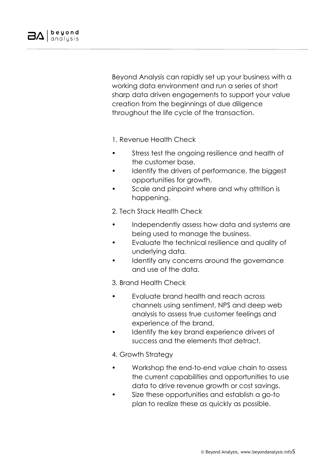Beyond Analysis can rapidly set up your business with a working data environment and run a series of short sharp data driven engagements to support your value creation from the beginnings of due diligence throughout the life cycle of the transaction.

1. Revenue Health Check

- Stress test the ongoing resilience and health of the customer base.
- Identify the drivers of performance, the biggest opportunities for growth.
- Scale and pinpoint where and why attrition is happening.

2. Tech Stack Health Check

- Independently assess how data and systems are being used to manage the business.
- Evaluate the technical resilience and quality of underlying data.
- Identify any concerns around the governance and use of the data.

3. Brand Health Check

- Evaluate brand health and reach across channels using sentiment, NPS and deep web analysis to assess true customer feelings and experience of the brand.
- Identify the key brand experience drivers of success and the elements that detract.

4. Growth Strategy

- Workshop the end-to-end value chain to assess the current capabilities and opportunities to use data to drive revenue growth or cost savings.
- Size these opportunities and establish a go-to plan to realize these as quickly as possible.